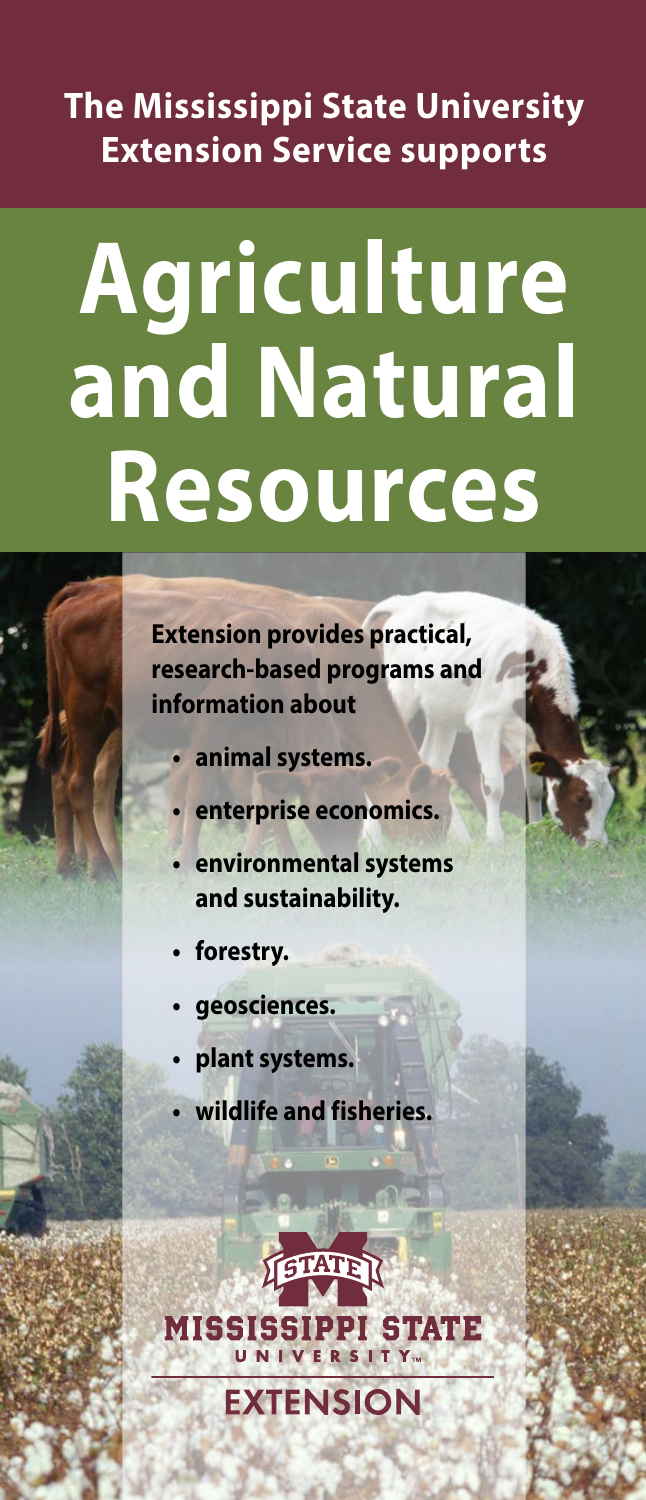# **The Mississippi State University Extension Service supports**

# **Agriculture and Natural Resources**

**Extension provides practical, research-based programs and information about** 

- **• animal systems.**
- **• enterprise economics.**
- **• environmental systems and sustainability.**
- **• forestry.**
- **• geosciences.**
- **• plant systems.**
- **• wildlife and fisheries.**